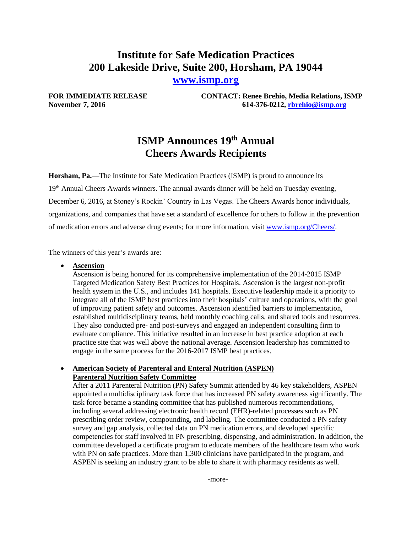# **Institute for Safe Medication Practices 200 Lakeside Drive, Suite 200, Horsham, PA 19044**

**[www.ismp.org](http://www.ismp.org/)**

**FOR IMMEDIATE RELEASE CONTACT: Renee Brehio, Media Relations, ISMP November 7, 2016 614-376-0212, [rbrehio@ismp.org](mailto:rbrehio@ismp.org)**

# **ISMP Announces 19 th Annual Cheers Awards Recipients**

**Horsham, Pa.**—The Institute for Safe Medication Practices (ISMP) is proud to announce its 19<sup>th</sup> Annual Cheers Awards winners. The annual awards dinner will be held on Tuesday evening, December 6, 2016, at Stoney's Rockin' Country in Las Vegas. The Cheers Awards honor individuals, organizations, and companies that have set a standard of excellence for others to follow in the prevention of medication errors and adverse drug events; for more information, visit [www.ismp.org/Cheers/.](http://www.ismp.org/Cheers/)

The winners of this year's awards are:

**Ascension** 

Ascension is being honored for its comprehensive implementation of the 2014-2015 ISMP Targeted Medication Safety Best Practices for Hospitals. Ascension is the largest non-profit health system in the U.S., and includes 141 hospitals. Executive leadership made it a priority to integrate all of the ISMP best practices into their hospitals' culture and operations, with the goal of improving patient safety and outcomes. Ascension identified barriers to implementation, established multidisciplinary teams, held monthly coaching calls, and shared tools and resources. They also conducted pre- and post-surveys and engaged an independent consulting firm to evaluate compliance. This initiative resulted in an increase in best practice adoption at each practice site that was well above the national average. Ascension leadership has committed to engage in the same process for the 2016-2017 ISMP best practices.

#### **American Society of Parenteral and Enteral Nutrition (ASPEN) Parenteral Nutrition Safety Committee**

After a 2011 Parenteral Nutrition (PN) Safety Summit attended by 46 key stakeholders, ASPEN appointed a multidisciplinary task force that has increased PN safety awareness significantly. The task force became a standing committee that has published numerous recommendations, including several addressing electronic health record (EHR)-related processes such as PN prescribing order review, compounding, and labeling. The committee conducted a PN safety survey and gap analysis, collected data on PN medication errors, and developed specific competencies for staff involved in PN prescribing, dispensing, and administration. In addition, the committee developed a certificate program to educate members of the healthcare team who work with PN on safe practices. More than 1,300 clinicians have participated in the program, and ASPEN is seeking an industry grant to be able to share it with pharmacy residents as well.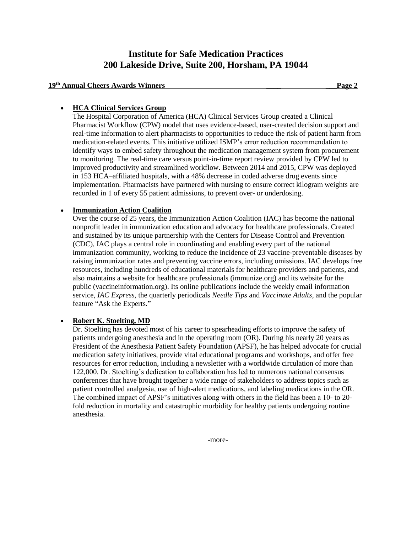## **Institute for Safe Medication Practices 200 Lakeside Drive, Suite 200, Horsham, PA 19044**

### **19 th Annual Cheers Awards Winners \_\_\_\_ \_\_\_Page 2**

#### **HCA Clinical Services Group**

The Hospital Corporation of America (HCA) Clinical Services Group created a Clinical Pharmacist Workflow (CPW) model that uses evidence-based, user-created decision support and real-time information to alert pharmacists to opportunities to reduce the risk of patient harm from medication-related events. This initiative utilized ISMP's error reduction recommendation to identify ways to embed safety throughout the medication management system from procurement to monitoring. The real-time care versus point-in-time report review provided by CPW led to improved productivity and streamlined workflow. Between 2014 and 2015, CPW was deployed in 153 HCA–affiliated hospitals, with a 48% decrease in coded adverse drug events since implementation. Pharmacists have partnered with nursing to ensure correct kilogram weights are recorded in 1 of every 55 patient admissions, to prevent over- or underdosing.

### **Immunization Action Coalition**

Over the course of 25 years, the Immunization Action Coalition (IAC) has become the national nonprofit leader in immunization education and advocacy for healthcare professionals. Created and sustained by its unique partnership with the Centers for Disease Control and Prevention (CDC), IAC plays a central role in coordinating and enabling every part of the national immunization community, working to reduce the incidence of 23 vaccine-preventable diseases by raising immunization rates and preventing vaccine errors, including omissions. IAC develops free resources, including hundreds of educational materials for healthcare providers and patients, and also maintains a website for healthcare professionals (immunize.org) and its website for the public (vaccineinformation.org). Its online publications include the weekly email information service, *IAC Express*, the quarterly periodicals *Needle Tips* and *Vaccinate Adults*, and the popular feature "Ask the Experts."

#### **Robert K. Stoelting, MD**

Dr. Stoelting has devoted most of his career to spearheading efforts to improve the safety of patients undergoing anesthesia and in the operating room (OR). During his nearly 20 years as President of the Anesthesia Patient Safety Foundation (APSF), he has helped advocate for crucial medication safety initiatives, provide vital educational programs and workshops, and offer free resources for error reduction, including a newsletter with a worldwide circulation of more than 122,000. Dr. Stoelting's dedication to collaboration has led to numerous national consensus conferences that have brought together a wide range of stakeholders to address topics such as patient controlled analgesia, use of high-alert medications, and labeling medications in the OR. The combined impact of APSF's initiatives along with others in the field has been a 10- to 20 fold reduction in mortality and catastrophic morbidity for healthy patients undergoing routine anesthesia.

-more-